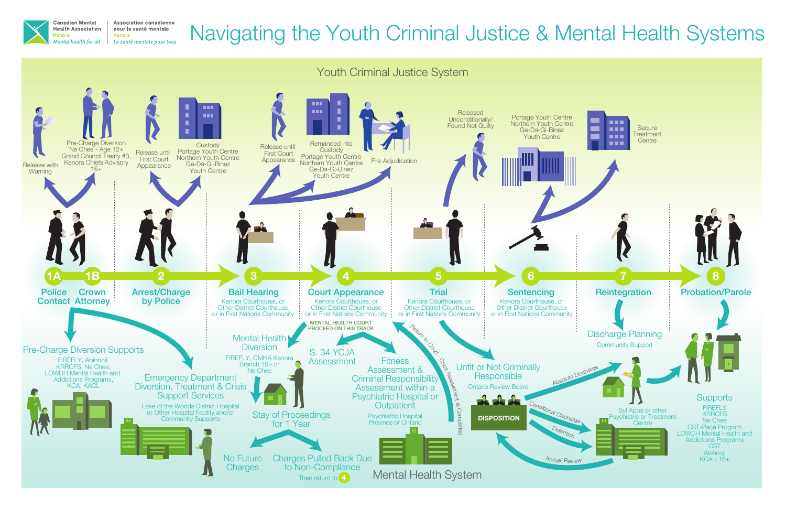

**Association canadienne** pour la santé mentale Kenora La santé mentale pour tous

# Navigating the Youth Criminal Justice & Mental Health Systems